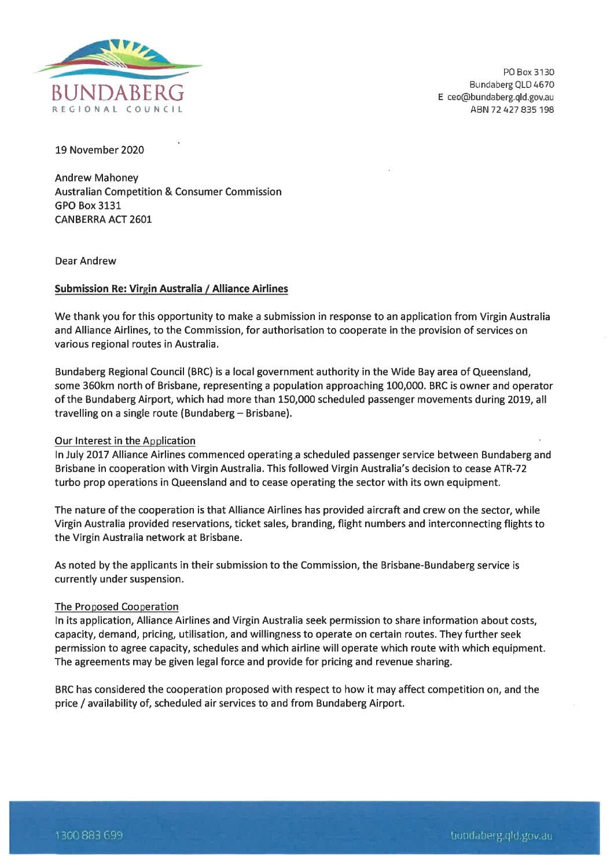

PO Box 3130 Bundaberg QLD 4670 E ceo@bundaberg.qld.gov.au ABN 72 427 835 198

19 November 2020

Andrew Mahoney Australian Competition & Consumer Commission GPO Box 3131 CANBERRA ACT 2601

Dear Andrew

## Submission Re: Virgin Australia / Alliance Airlines

We thank you for this opportunity to make a submission in response to an application from Virgin Australia and Alliance Airlines, to the Commission, for authorisation to cooperate in the provision of services on various regional routes in Australia.

Bundaberg Regional Council (BRC) is a local government authority in the Wide Bay area of Queensland, some 360km north of Brisbane, representing a population approaching 100,000. BRC is owner and operator of the Bundaberg Airport, which had more than 150,000 scheduled passenger movements during 2019, all travelling on a single route (Bundaberg- Brisbane).

## Our Interest in the Application

In July 2017 Alliance Airlines commenced operating a scheduled passenger service between Bundaberg and Brisbane in cooperation with Virgin Australia. This followed Virgin Australia's decision to cease ATR-72 turbo prop operations in Queensland and to cease operating the sector with its own equipment.

The nature of the cooperation is that Alliance Airlines has provided aircraft and crew on the sector, while Virgin Australia provided reservations, ticket sales, branding, flight numbers and interconnecting flights to the Virgin Australia network at Brisbane.

As noted by the applicants in their submission to the Commission, the Brisbane-Bundaberg service is currently under suspension.

## The Proposed Cooperation

In its application. Alliance Airlines and Virgin Australia seek permission to share information about costs, capacity, demand, pricing, utilisation, and willingness to operate on certain routes. They further seek permission to agree capacity, schedules and which airline will operate which route with which equipment. The agreements may be given legal force and provide for pricing and revenue sharing.

BRC has considered the cooperation proposed with respect to how it may affect competition on, and the price / availability of, scheduled air services to and from Bundaberg Airport.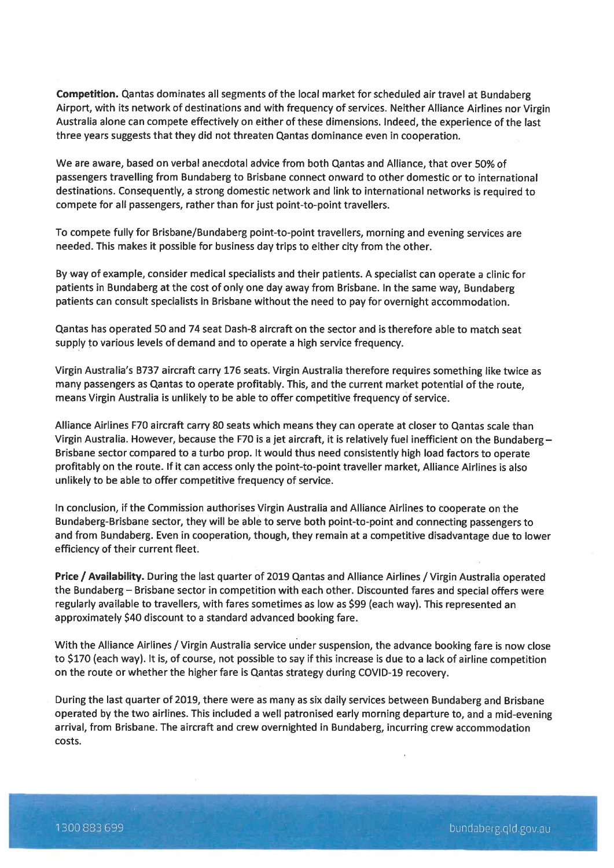Competition. Qantas dominates all segments of the local market for scheduled air travel at Bundaberg Airport, with its network of destinations and with frequency of services. Neither Alliance Airlines nor Virgin Australia alone can compete effectively on either of these dimensions. Indeed, the experience of the last three years suggests that they did not threaten Qantas dominance even in cooperation.

We are aware, based on verbal anecdotal advice from both Qantas and Alliance, that over 50% of passengers travelling from Bundaberg to Brisbane connect onward to other domestic or to international destinations. Consequently, a strong domestic network and link to international networks is required to compete for all passengers, rather than for just point-to-point travellers.

To compete fully for Brisbane/Bundaberg point-to-point travellers, morning and evening services are needed. This makes it possible for business day trips to either city from the other.

By way of example, consider medical specialists and their patients. A specialist can operate a clinic for patients in Bundaberg at the cost of only one day away from Brisbane. In the same way, Bundaberg patients can consult specialists in Brisbane without the need to pay for overnight accommodation.

Qantas has operated 50 and 74 seat Dash-8 aircraft on the sector and is therefore able to match seat supply to various levels of demand and to operate a high service frequency.

Virgin Australia's B737 aircraft carry 176 seats. Virgin Australia therefore requires something like twice as many passengers as Qantas to operate profitably. This, and the current market potential of the route, means Virgin Australia is unlikely to be able to offer competitive frequency of service.

Alliance Airlines F70 aircraft carry 80 seats which means they can operate at closer to Qantas scale than Virgin Australia. However, because the F70 is a jet aircraft, it is relatively fuel inefficient on the Bundaberg - Brisbane sector compared to a turbo prop. It would thus need consistently high load factors to operate profitably on the route. If it can access only the point-to-point traveller market, Alliance Airlines is also unlikely to be able to offer competitive frequency of service.

In conclusion, if the Commission authorises Virgin Australia and Alliance Airlines to cooperate on the Bundaberg-Brisbane sector, they will be able to serve both point-to-point and connecting passengers to and from Bundaberg. Even in cooperation, though, they remain at a competitive disadvantage due to lower efficiency of their current fleet.

Price / Availability. During the last quarter of 2019 Qantas and Alliance Airlines / Virgin Australia operated the Bundaberg - Brisbane sector in competition with each other. Discounted fares and special offers were regularly available to travellers, with fares sometimes as low as \$99 (each way). This represented an approximately \$40 discount to a standard advanced booking fare.

With the Alliance Airlines / Virgin Australia service under suspension, the advance booking fare is now close to \$170 (each way). It is, of course, not possible to say if this increase is due to a lack of airline competition on the route or whether the higher fare is Qantas strategy during COVID-19 recovery.

During the last quarter of 2019, there were as many as six daily services between Bundaberg and Brisbane operated by the two airlines. This included a welt patronised early morning departure to, and a mid-evening arrival, from Brisbane. The aircraft and crew overnighted in Bundaberg, incurring crew accommodation costs.